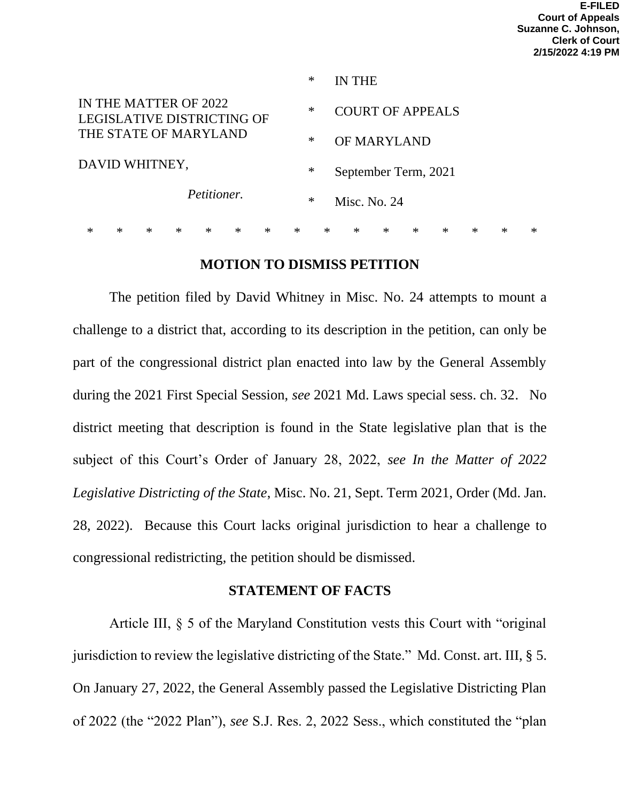|                                                     |   |        |        |        |        |        | $\ast$ |                | IN THE                  |        |        |        |        |        |   |
|-----------------------------------------------------|---|--------|--------|--------|--------|--------|--------|----------------|-------------------------|--------|--------|--------|--------|--------|---|
| IN THE MATTER OF 2022<br>LEGISLATIVE DISTRICTING OF |   |        |        |        |        |        | ∗      |                | <b>COURT OF APPEALS</b> |        |        |        |        |        |   |
| THE STATE OF MARYLAND<br>DAVID WHITNEY,             |   |        |        |        |        |        | $\ast$ |                | OF MARYLAND             |        |        |        |        |        |   |
|                                                     |   |        |        |        |        |        | ∗      |                | September Term, 2021    |        |        |        |        |        |   |
| Petitioner.                                         |   |        |        |        |        | $\ast$ |        | Misc. No. $24$ |                         |        |        |        |        |        |   |
| ∗                                                   | × | $\ast$ | $\ast$ | $\ast$ | $\ast$ | $\ast$ | $\ast$ | $\ast$         | $\ast$                  | $\ast$ | $\ast$ | $\ast$ | $\ast$ | $\ast$ | ∗ |

### **MOTION TO DISMISS PETITION**

The petition filed by David Whitney in Misc. No. 24 attempts to mount a challenge to a district that, according to its description in the petition, can only be part of the congressional district plan enacted into law by the General Assembly during the 2021 First Special Session, *see* 2021 Md. Laws special sess. ch. 32. No district meeting that description is found in the State legislative plan that is the subject of this Court's Order of January 28, 2022, *see In the Matter of 2022 Legislative Districting of the State*, Misc. No. 21, Sept. Term 2021, Order (Md. Jan. 28, 2022). Because this Court lacks original jurisdiction to hear a challenge to congressional redistricting, the petition should be dismissed.

### **STATEMENT OF FACTS**

Article III, § 5 of the Maryland Constitution vests this Court with "original jurisdiction to review the legislative districting of the State." Md. Const. art. III, § 5. On January 27, 2022, the General Assembly passed the Legislative Districting Plan of 2022 (the "2022 Plan"), *see* S.J. Res. 2, 2022 Sess., which constituted the "plan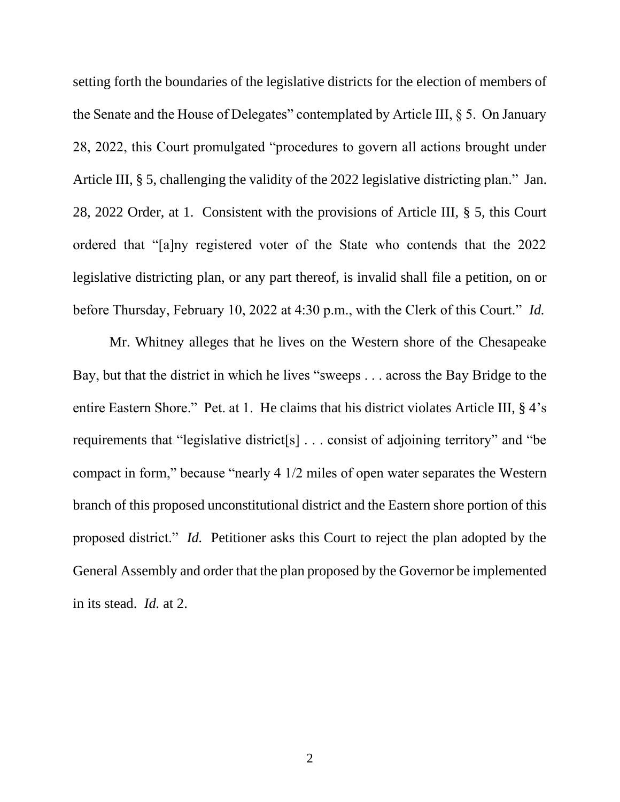setting forth the boundaries of the legislative districts for the election of members of the Senate and the House of Delegates" contemplated by Article III, § 5. On January 28, 2022, this Court promulgated "procedures to govern all actions brought under Article III, § 5, challenging the validity of the 2022 legislative districting plan." Jan. 28, 2022 Order, at 1. Consistent with the provisions of Article III, § 5, this Court ordered that "[a]ny registered voter of the State who contends that the 2022 legislative districting plan, or any part thereof, is invalid shall file a petition, on or before Thursday, February 10, 2022 at 4:30 p.m., with the Clerk of this Court." *Id.*

Mr. Whitney alleges that he lives on the Western shore of the Chesapeake Bay, but that the district in which he lives "sweeps . . . across the Bay Bridge to the entire Eastern Shore." Pet. at 1. He claims that his district violates Article III, § 4's requirements that "legislative district[s] . . . consist of adjoining territory" and "be compact in form," because "nearly 4 1/2 miles of open water separates the Western branch of this proposed unconstitutional district and the Eastern shore portion of this proposed district." *Id.* Petitioner asks this Court to reject the plan adopted by the General Assembly and order that the plan proposed by the Governor be implemented in its stead. *Id.* at 2.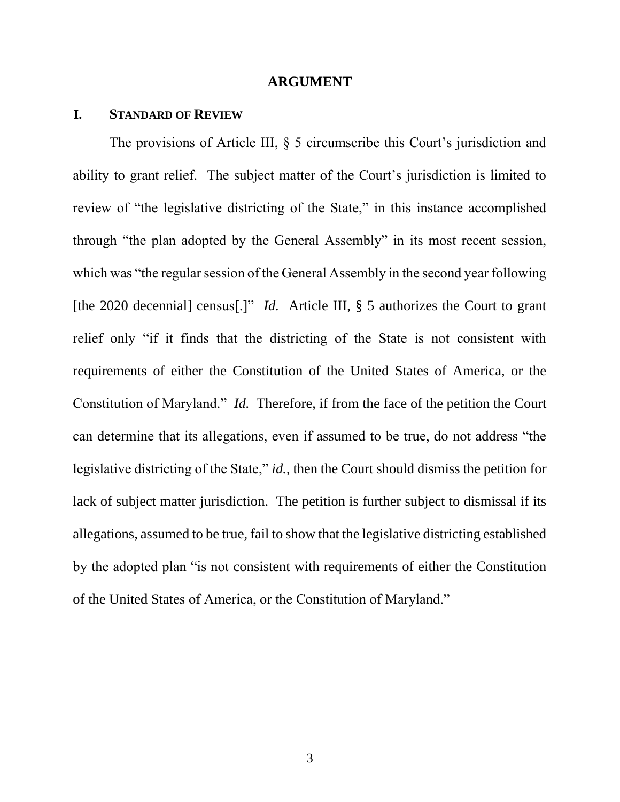#### **ARGUMENT**

#### **I. STANDARD OF REVIEW**

The provisions of Article III, § 5 circumscribe this Court's jurisdiction and ability to grant relief. The subject matter of the Court's jurisdiction is limited to review of "the legislative districting of the State," in this instance accomplished through "the plan adopted by the General Assembly" in its most recent session, which was "the regular session of the General Assembly in the second year following [the 2020 decennial] census<sup>[1]"</sup> *Id.* Article III, § 5 authorizes the Court to grant relief only "if it finds that the districting of the State is not consistent with requirements of either the Constitution of the United States of America, or the Constitution of Maryland." *Id.* Therefore, if from the face of the petition the Court can determine that its allegations, even if assumed to be true, do not address "the legislative districting of the State," *id.*, then the Court should dismiss the petition for lack of subject matter jurisdiction. The petition is further subject to dismissal if its allegations, assumed to be true, fail to show that the legislative districting established by the adopted plan "is not consistent with requirements of either the Constitution of the United States of America, or the Constitution of Maryland."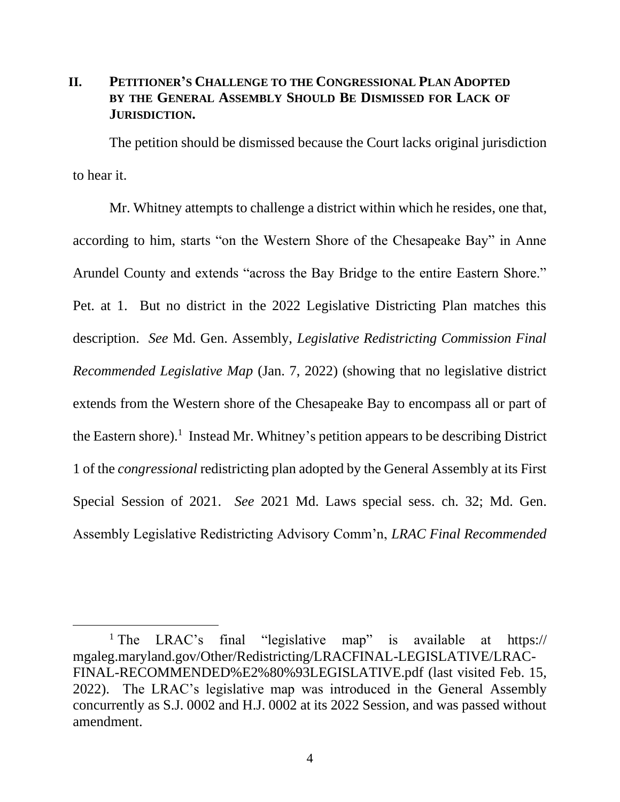# **II. PETITIONER'S CHALLENGE TO THE CONGRESSIONAL PLAN ADOPTED BY THE GENERAL ASSEMBLY SHOULD BE DISMISSED FOR LACK OF JURISDICTION.**

The petition should be dismissed because the Court lacks original jurisdiction to hear it.

Mr. Whitney attempts to challenge a district within which he resides, one that, according to him, starts "on the Western Shore of the Chesapeake Bay" in Anne Arundel County and extends "across the Bay Bridge to the entire Eastern Shore." Pet. at 1. But no district in the 2022 Legislative Districting Plan matches this description. *See* Md. Gen. Assembly, *Legislative Redistricting Commission Final Recommended Legislative Map* (Jan. 7, 2022) (showing that no legislative district extends from the Western shore of the Chesapeake Bay to encompass all or part of the Eastern shore).<sup>1</sup> Instead Mr. Whitney's petition appears to be describing District 1 of the *congressional* redistricting plan adopted by the General Assembly at its First Special Session of 2021. *See* 2021 Md. Laws special sess. ch. 32; Md. Gen. Assembly Legislative Redistricting Advisory Comm'n, *LRAC Final Recommended* 

<sup>&</sup>lt;sup>1</sup> The LRAC's final "legislative map" is available at https:// mgaleg.maryland.gov/Other/Redistricting/LRACFINAL-LEGISLATIVE/LRAC-FINAL-RECOMMENDED%E2%80%93LEGISLATIVE.pdf (last visited Feb. 15, 2022). The LRAC's legislative map was introduced in the General Assembly concurrently as S.J. 0002 and H.J. 0002 at its 2022 Session, and was passed without amendment.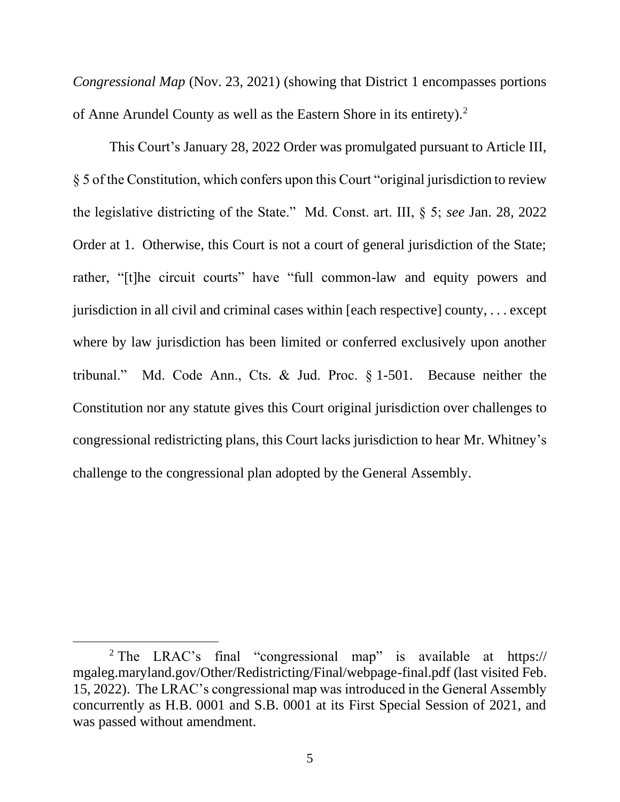*Congressional Map* (Nov. 23, 2021) (showing that District 1 encompasses portions of Anne Arundel County as well as the Eastern Shore in its entirety).<sup>2</sup>

This Court's January 28, 2022 Order was promulgated pursuant to Article III, § 5 of the Constitution, which confers upon this Court "original jurisdiction to review the legislative districting of the State." Md. Const. art. III, § 5; *see* Jan. 28, 2022 Order at 1. Otherwise, this Court is not a court of general jurisdiction of the State; rather, "[t]he circuit courts" have "full common-law and equity powers and jurisdiction in all civil and criminal cases within [each respective] county, . . . except where by law jurisdiction has been limited or conferred exclusively upon another tribunal." Md. Code Ann., Cts. & Jud. Proc. § 1-501. Because neither the Constitution nor any statute gives this Court original jurisdiction over challenges to congressional redistricting plans, this Court lacks jurisdiction to hear Mr. Whitney's challenge to the congressional plan adopted by the General Assembly.

<sup>&</sup>lt;sup>2</sup> The LRAC's final "congressional map" is available at https:// mgaleg.maryland.gov/Other/Redistricting/Final/webpage-final.pdf (last visited Feb. 15, 2022). The LRAC's congressional map was introduced in the General Assembly concurrently as H.B. 0001 and S.B. 0001 at its First Special Session of 2021, and was passed without amendment.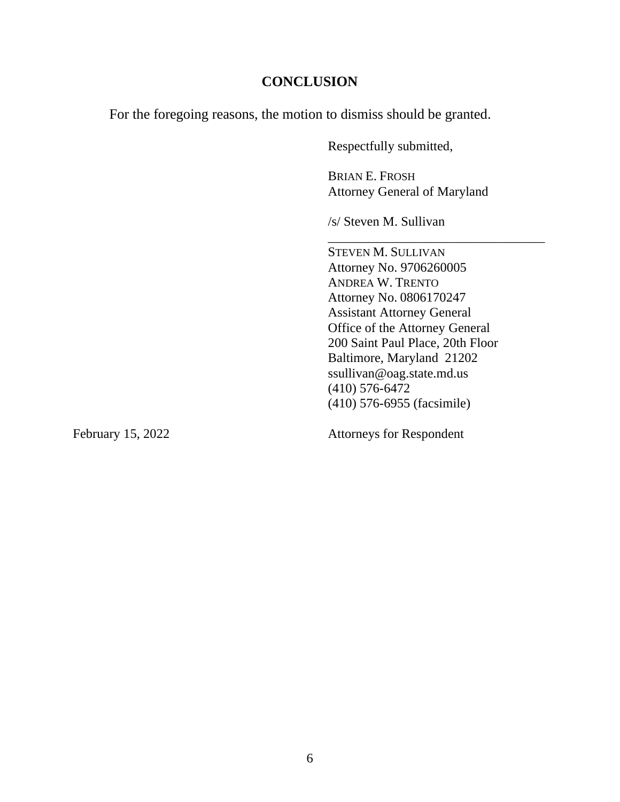### **CONCLUSION**

For the foregoing reasons, the motion to dismiss should be granted.

Respectfully submitted,

BRIAN E. FROSH Attorney General of Maryland

\_\_\_\_\_\_\_\_\_\_\_\_\_\_\_\_\_\_\_\_\_\_\_\_\_\_\_\_\_\_\_\_\_

/s/ Steven M. Sullivan

STEVEN M. SULLIVAN Attorney No. 9706260005 ANDREA W. TRENTO Attorney No. 0806170247 Assistant Attorney General Office of the Attorney General 200 Saint Paul Place, 20th Floor Baltimore, Maryland 21202 ssullivan@oag.state.md.us (410) 576-6472 (410) 576-6955 (facsimile)

February 15, 2022 Attorneys for Respondent